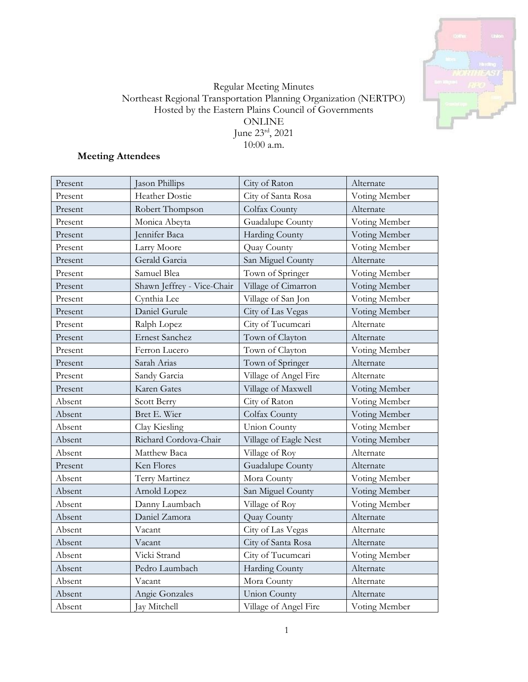

## Regular Meeting Minutes Northeast Regional Transportation Planning Organization (NERTPO) Hosted by the Eastern Plains Council of Governments ONLINE June 23rd, 2021 10:00 a.m.

# **Meeting Attendees**

| Present | Jason Phillips             | City of Raton         | Alternate     |
|---------|----------------------------|-----------------------|---------------|
| Present | Heather Dostie             | City of Santa Rosa    | Voting Member |
| Present | Robert Thompson            | Colfax County         | Alternate     |
| Present | Monica Abeyta              | Guadalupe County      | Voting Member |
| Present | Jennifer Baca              | Harding County        | Voting Member |
| Present | Larry Moore                | Quay County           | Voting Member |
| Present | Gerald Garcia              | San Miguel County     | Alternate     |
| Present | Samuel Blea                | Town of Springer      | Voting Member |
| Present | Shawn Jeffrey - Vice-Chair | Village of Cimarron   | Voting Member |
| Present | Cynthia Lee                | Village of San Jon    | Voting Member |
| Present | Daniel Gurule              | City of Las Vegas     | Voting Member |
| Present | Ralph Lopez                | City of Tucumcari     | Alternate     |
| Present | <b>Ernest Sanchez</b>      | Town of Clayton       | Alternate     |
| Present | Ferron Lucero              | Town of Clayton       | Voting Member |
| Present | Sarah Arias                | Town of Springer      | Alternate     |
| Present | Sandy Garcia               | Village of Angel Fire | Alternate     |
| Present | Karen Gates                | Village of Maxwell    | Voting Member |
| Absent  | Scott Berry                | City of Raton         | Voting Member |
| Absent  | Bret E. Wier               | Colfax County         | Voting Member |
| Absent  | Clay Kiesling              | <b>Union County</b>   | Voting Member |
| Absent  | Richard Cordova-Chair      | Village of Eagle Nest | Voting Member |
| Absent  | Matthew Baca               | Village of Roy        | Alternate     |
| Present | Ken Flores                 | Guadalupe County      | Alternate     |
| Absent  | Terry Martinez             | Mora County           | Voting Member |
| Absent  | Arnold Lopez               | San Miguel County     | Voting Member |
| Absent  | Danny Laumbach             | Village of Roy        | Voting Member |
| Absent  | Daniel Zamora              | Quay County           | Alternate     |
| Absent  | Vacant                     | City of Las Vegas     | Alternate     |
| Absent  | Vacant                     | City of Santa Rosa    | Alternate     |
| Absent  | Vicki Strand               | City of Tucumcari     | Voting Member |
| Absent  | Pedro Laumbach             | <b>Harding County</b> | Alternate     |
| Absent  | Vacant                     | Mora County           | Alternate     |
| Absent  | Angie Gonzales             | <b>Union County</b>   | Alternate     |
| Absent  | Jay Mitchell               | Village of Angel Fire | Voting Member |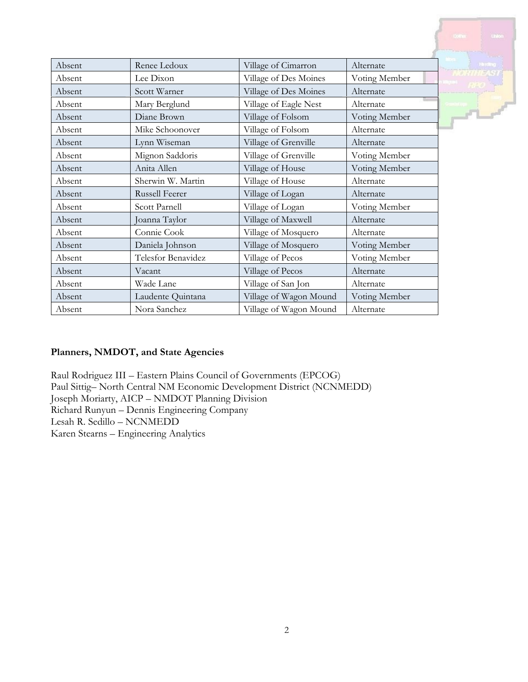|        |                       |                        |               | <b>Union</b><br><b>Dollnes</b> |
|--------|-----------------------|------------------------|---------------|--------------------------------|
|        |                       |                        |               |                                |
| Absent | Renee Ledoux          | Village of Cimarron    | Alternate     | <b>Harding</b>                 |
| Absent | Lee Dixon             | Village of Des Moines  | Voting Member |                                |
| Absent | Scott Warner          | Village of Des Moines  | Alternate     |                                |
| Absent | Mary Berglund         | Village of Eagle Nest  | Alternate     |                                |
| Absent | Diane Brown           | Village of Folsom      | Voting Member | <b>VD</b>                      |
| Absent | Mike Schoonover       | Village of Folsom      | Alternate     |                                |
| Absent | Lynn Wiseman          | Village of Grenville   | Alternate     |                                |
| Absent | Mignon Saddoris       | Village of Grenville   | Voting Member |                                |
| Absent | Anita Allen           | Village of House       | Voting Member |                                |
| Absent | Sherwin W. Martin     | Village of House       | Alternate     |                                |
| Absent | <b>Russell Feerer</b> | Village of Logan       | Alternate     |                                |
| Absent | Scott Parnell         | Village of Logan       | Voting Member |                                |
| Absent | Joanna Taylor         | Village of Maxwell     | Alternate     |                                |
| Absent | Connie Cook           | Village of Mosquero    | Alternate     |                                |
| Absent | Daniela Johnson       | Village of Mosquero    | Voting Member |                                |
| Absent | Telesfor Benavidez    | Village of Pecos       | Voting Member |                                |
| Absent | Vacant                | Village of Pecos       | Alternate     |                                |
| Absent | Wade Lane             | Village of San Jon     | Alternate     |                                |
| Absent | Laudente Quintana     | Village of Wagon Mound | Voting Member |                                |
| Absent | Nora Sanchez          | Village of Wagon Mound | Alternate     |                                |

# **Planners, NMDOT, and State Agencies**

Raul Rodriguez III – Eastern Plains Council of Governments (EPCOG) Paul Sittig– North Central NM Economic Development District (NCNMEDD) Joseph Moriarty, AICP – NMDOT Planning Division Richard Runyun – Dennis Engineering Company Lesah R. Sedillo – NCNMEDD Karen Stearns – Engineering Analytics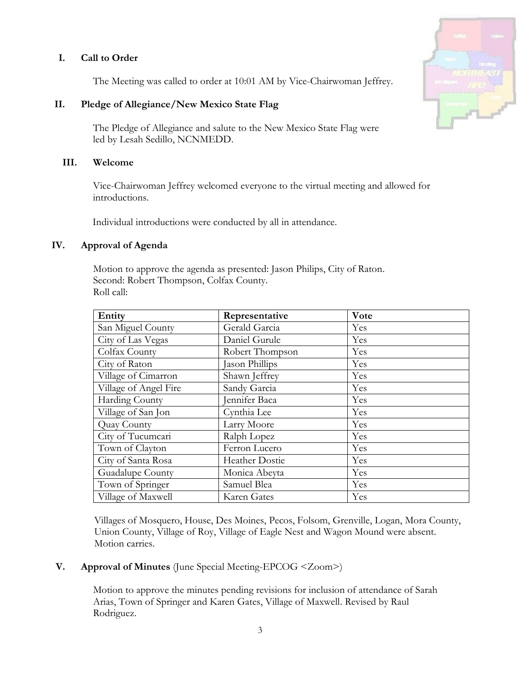## **I. Call to Order**

The Meeting was called to order at 10:01 AM by Vice-Chairwoman Jeffrey.

## **II. Pledge of Allegiance/New Mexico State Flag**

The Pledge of Allegiance and salute to the New Mexico State Flag were led by Lesah Sedillo, NCNMEDD.

#### **III. Welcome**

Vice-Chairwoman Jeffrey welcomed everyone to the virtual meeting and allowed for introductions.

Individual introductions were conducted by all in attendance.

#### **IV. Approval of Agenda**

Motion to approve the agenda as presented: Jason Philips, City of Raton. Second: Robert Thompson, Colfax County. Roll call:

| Entity                | Representative        | Vote |
|-----------------------|-----------------------|------|
| San Miguel County     | Gerald Garcia         | Yes  |
| City of Las Vegas     | Daniel Gurule         | Yes  |
| Colfax County         | Robert Thompson       | Yes  |
| City of Raton         | Jason Phillips        | Yes  |
| Village of Cimarron   | Shawn Jeffrey         | Yes  |
| Village of Angel Fire | Sandy Garcia          | Yes  |
| Harding County        | Jennifer Baca         | Yes  |
| Village of San Jon    | Cynthia Lee           | Yes  |
| Quay County           | Larry Moore           | Yes  |
| City of Tucumcari     | Ralph Lopez           | Yes  |
| Town of Clayton       | Ferron Lucero         | Yes  |
| City of Santa Rosa    | <b>Heather Dostie</b> | Yes  |
| Guadalupe County      | Monica Abeyta         | Yes  |
| Town of Springer      | Samuel Blea           | Yes  |
| Village of Maxwell    | Karen Gates           | Yes  |

Villages of Mosquero, House, Des Moines, Pecos, Folsom, Grenville, Logan, Mora County, Union County, Village of Roy, Village of Eagle Nest and Wagon Mound were absent. Motion carries.

## **V. Approval of Minutes** (June Special Meeting-EPCOG <Zoom>)

Motion to approve the minutes pending revisions for inclusion of attendance of Sarah Arias, Town of Springer and Karen Gates, Village of Maxwell. Revised by Raul Rodriguez.

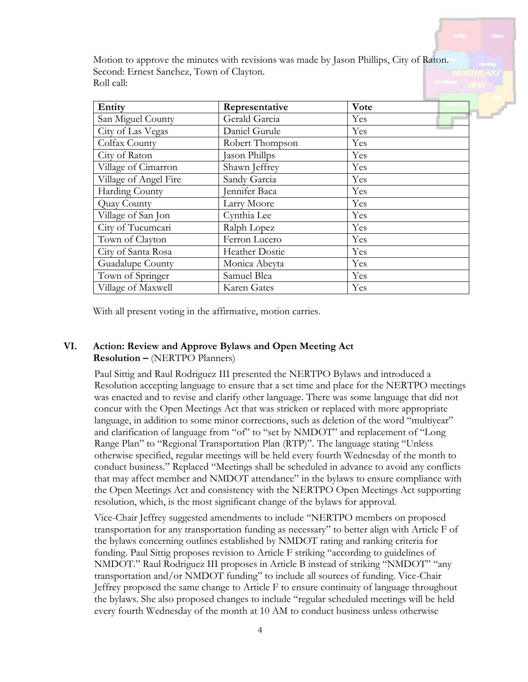Motion to approve the minutes with revisions was made by Jason Phillips, City of Raton. Second: Ernest Sanchez, Town of Clayton. Roll call:

| Entity                | Representative  | Vote |
|-----------------------|-----------------|------|
| San Miguel County     | Gerald Garcia   | Yes  |
| City of Las Vegas     | Daniel Gurule   | Yes  |
| Colfax County         | Robert Thompson | Yes  |
| City of Raton         | ason Phillps    | Yes  |
| Village of Cimarron   | Shawn Jeffrey   | Yes  |
| Village of Angel Fire | Sandy Garcia    | Yes  |
| Harding County        | ennifer Baca    | Yes  |
| Quay County           | Larry Moore     | Yes  |
| Village of San Jon    | Cynthia Lee     | Yes  |
| City of Tucumcari     | Ralph Lopez     | Yes  |
| Town of Clayton       | Ferron Lucero   | Yes  |
| City of Santa Rosa    | Heather Dostie  | Yes  |
| Guadalupe County      | Monica Abeyta   | Yes  |
| Town of Springer      | Samuel Blea     | Yes  |
| Village of Maxwell    | Karen Gates     | Yes  |

With all present voting in the affirmative, motion carries.

## **VI. Action: Review and Approve Bylaws and Open Meeting Act Resolution –** (NERTPO Planners)

Paul Sittig and Raul Rodriguez III presented the NERTPO Bylaws and introduced a Resolution accepting language to ensure that a set time and place for the NERTPO meetings was enacted and to revise and clarify other language. There was some language that did not concur with the Open Meetings Act that was stricken or replaced with more appropriate language, in addition to some minor corrections, such as deletion of the word "multiyear" and clarification of language from "of" to "set by NMDOT" and replacement of "Long Range Plan" to "Regional Transportation Plan (RTP)". The language stating "Unless otherwise specified, regular meetings will be held every fourth Wednesday of the month to conduct business." Replaced "Meetings shall be scheduled in advance to avoid any conflicts that may affect member and NMDOT attendance" in the bylaws to ensure compliance with the Open Meetings Act and consistency with the NERTPO Open Meetings Act supporting resolution, which, is the most significant change of the bylaws for approval.

Vice-Chair Jeffrey suggested amendments to include "NERTPO members on proposed transportation for any transportation funding as necessary" to better align with Article F of the bylaws concerning outlines established by NMDOT rating and ranking criteria for funding. Paul Sittig proposes revision to Article F striking "according to guidelines of NMDOT." Raul Rodriguez III proposes in Article B instead of striking "NMDOT" "any transportation and/or NMDOT funding" to include all sources of funding. Vice-Chair Jeffrey proposed the same change to Article F to ensure continuity of language throughout the bylaws. She also proposed changes to include "regular scheduled meetings will be held every fourth Wednesday of the month at 10 AM to conduct business unless otherwise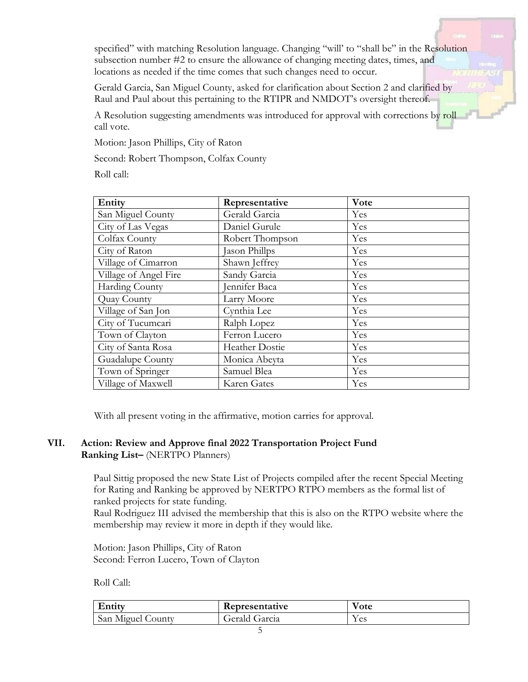specified" with matching Resolution language. Changing "will' to "shall be" in the Resolution subsection number #2 to ensure the allowance of changing meeting dates, times, and locations as needed if the time comes that such changes need to occur.

Gerald Garcia, San Miguel County, asked for clarification about Section 2 and clarified by Raul and Paul about this pertaining to the RTIPR and NMDOT's oversight thereof.

A Resolution suggesting amendments was introduced for approval with corrections by roll call vote.

Motion: Jason Phillips, City of Raton

Second: Robert Thompson, Colfax County

Roll call:

| Entity                | Representative        | Vote |
|-----------------------|-----------------------|------|
| San Miguel County     | Gerald Garcia         | Yes  |
| City of Las Vegas     | Daniel Gurule         | Yes  |
| Colfax County         | Robert Thompson       | Yes  |
| City of Raton         | Jason Phillps         | Yes  |
| Village of Cimarron   | Shawn Jeffrey         | Yes  |
| Village of Angel Fire | Sandy Garcia          | Yes  |
| Harding County        | Jennifer Baca         | Yes  |
| Quay County           | Larry Moore           | Yes  |
| Village of San Jon    | Cynthia Lee           | Yes  |
| City of Tucumcari     | Ralph Lopez           | Yes  |
| Town of Clayton       | Ferron Lucero         | Yes  |
| City of Santa Rosa    | <b>Heather Dostie</b> | Yes  |
| Guadalupe County      | Monica Abeyta         | Yes  |
| Town of Springer      | Samuel Blea           | Yes  |
| Village of Maxwell    | Karen Gates           | Yes  |

With all present voting in the affirmative, motion carries for approval.

# **VII. Action: Review and Approve final 2022 Transportation Project Fund Ranking List–** (NERTPO Planners)

Paul Sittig proposed the new State List of Projects compiled after the recent Special Meeting for Rating and Ranking be approved by NERTPO RTPO members as the formal list of ranked projects for state funding.

Raul Rodriguez III advised the membership that this is also on the RTPO website where the membership may review it more in depth if they would like.

Motion: Jason Phillips, City of Raton Second: Ferron Lucero, Town of Clayton

Roll Call:

| Entity            | Representative | V ote |
|-------------------|----------------|-------|
| San Miguel County | Gerald Garcia  | y es  |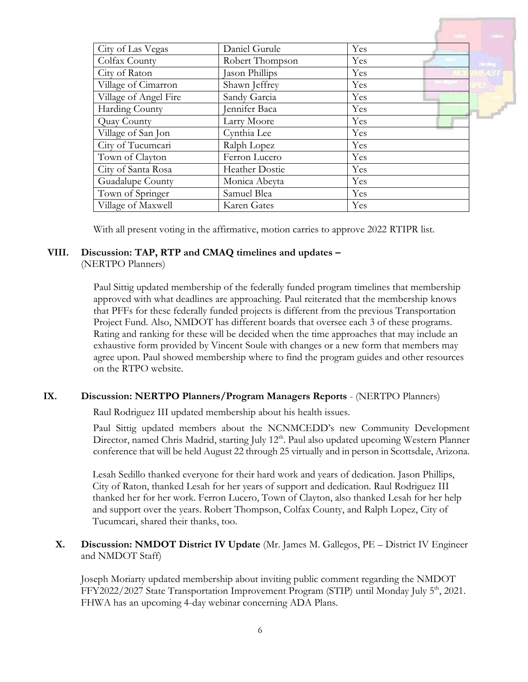|                       |                 | Colins :                            | $Un\_on$ |
|-----------------------|-----------------|-------------------------------------|----------|
| City of Las Vegas     | Daniel Gurule   | Yes<br><b>The company's company</b> |          |
| Colfax County         | Robert Thompson | Yes                                 | Hinding  |
| City of Raton         | Jason Phillips  | Yes                                 |          |
| Village of Cimarron   | Shawn Jeffrey   | Yes                                 |          |
| Village of Angel Fire | Sandy Garcia    | Yes                                 |          |
| Harding County        | Jennifer Baca   | Yes                                 |          |
| Quay County           | Larry Moore     | Yes                                 |          |
| Village of San Jon    | Cynthia Lee     | Yes                                 |          |
| City of Tucumcari     | Ralph Lopez     | Yes                                 |          |
| Town of Clayton       | Ferron Lucero   | Yes                                 |          |
| City of Santa Rosa    | Heather Dostie  | Yes                                 |          |
| Guadalupe County      | Monica Abeyta   | Yes                                 |          |
| Town of Springer      | Samuel Blea     | Yes                                 |          |
| Village of Maxwell    | Karen Gates     | Yes                                 |          |

With all present voting in the affirmative, motion carries to approve 2022 RTIPR list.

# **VIII. Discussion: TAP, RTP and CMAQ timelines and updates –**

#### (NERTPO Planners)

Paul Sittig updated membership of the federally funded program timelines that membership approved with what deadlines are approaching. Paul reiterated that the membership knows that PFFs for these federally funded projects is different from the previous Transportation Project Fund. Also, NMDOT has different boards that oversee each 3 of these programs. Rating and ranking for these will be decided when the time approaches that may include an exhaustive form provided by Vincent Soule with changes or a new form that members may agree upon. Paul showed membership where to find the program guides and other resources on the RTPO website.

## **IX. Discussion: NERTPO Planners/Program Managers Reports** - (NERTPO Planners)

Raul Rodriguez III updated membership about his health issues.

Paul Sittig updated members about the NCNMCEDD's new Community Development Director, named Chris Madrid, starting July 12<sup>th</sup>. Paul also updated upcoming Western Planner conference that will be held August 22 through 25 virtually and in person in Scottsdale, Arizona.

Lesah Sedillo thanked everyone for their hard work and years of dedication. Jason Phillips, City of Raton, thanked Lesah for her years of support and dedication. Raul Rodriguez III thanked her for her work. Ferron Lucero, Town of Clayton, also thanked Lesah for her help and support over the years. Robert Thompson, Colfax County, and Ralph Lopez, City of Tucumcari, shared their thanks, too.

## **X. Discussion: NMDOT District IV Update** (Mr. James M. Gallegos, PE – District IV Engineer and NMDOT Staff)

Joseph Moriarty updated membership about inviting public comment regarding the NMDOT FFY2022/2027 State Transportation Improvement Program (STIP) until Monday July 5<sup>th</sup>, 2021. FHWA has an upcoming 4-day webinar concerning ADA Plans.